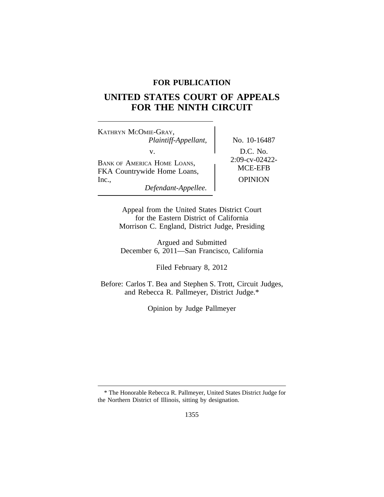## **FOR PUBLICATION**

# **UNITED STATES COURT OF APPEALS FOR THE NINTH CIRCUIT**

<sup>K</sup>ATHRYN MCOMIE-GRAY, *Plaintiff-Appellant,* No. 10-16487 v.<br>BANK OF AMERICA HOME LOANS,<br>EXA Countrywide Home Loans,<br>MCE-EFB FKA Countrywide Home Loans, Inc., OPINION *Defendant-Appellee.*

Appeal from the United States District Court for the Eastern District of California Morrison C. England, District Judge, Presiding

Argued and Submitted December 6, 2011—San Francisco, California

Filed February 8, 2012

Before: Carlos T. Bea and Stephen S. Trott, Circuit Judges, and Rebecca R. Pallmeyer, District Judge.\*

Opinion by Judge Pallmeyer

<sup>\*</sup> The Honorable Rebecca R. Pallmeyer, United States District Judge for the Northern District of Illinois, sitting by designation.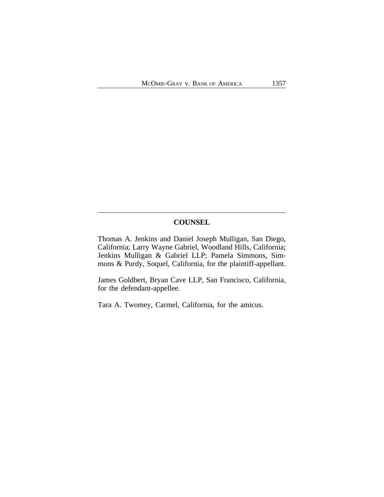### **COUNSEL**

Thomas A. Jenkins and Daniel Joseph Mulligan, San Diego, California; Larry Wayne Gabriel, Woodland Hills, California; Jenkins Mulligan & Gabriel LLP; Pamela Simmons, Simmons & Purdy, Soquel, California, for the plaintiff-appellant.

James Goldbert, Bryan Cave LLP, San Francisco, California, for the defendant-appellee.

Tara A. Twomey, Carmel, California, for the amicus.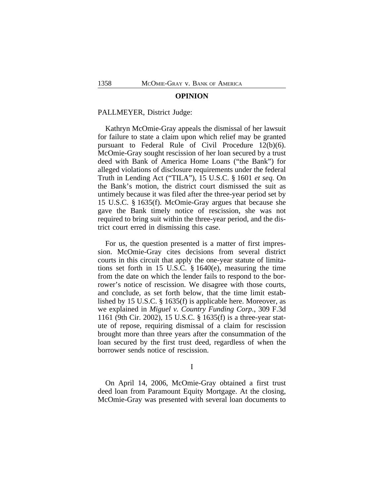#### **OPINION**

#### PALLMEYER, District Judge:

Kathryn McOmie-Gray appeals the dismissal of her lawsuit for failure to state a claim upon which relief may be granted pursuant to Federal Rule of Civil Procedure 12(b)(6). McOmie-Gray sought rescission of her loan secured by a trust deed with Bank of America Home Loans ("the Bank") for alleged violations of disclosure requirements under the federal Truth in Lending Act ("TILA"), 15 U.S.C. § 1601 *et seq.* On the Bank's motion, the district court dismissed the suit as untimely because it was filed after the three-year period set by 15 U.S.C. § 1635(f). McOmie-Gray argues that because she gave the Bank timely notice of rescission, she was not required to bring suit within the three-year period, and the district court erred in dismissing this case.

For us, the question presented is a matter of first impression. McOmie-Gray cites decisions from several district courts in this circuit that apply the one-year statute of limitations set forth in 15 U.S.C. § 1640(e), measuring the time from the date on which the lender fails to respond to the borrower's notice of rescission. We disagree with those courts, and conclude, as set forth below, that the time limit established by 15 U.S.C. § 1635(f) is applicable here. Moreover, as we explained in *Miguel v. Country Funding Corp.*, 309 F.3d 1161 (9th Cir. 2002), 15 U.S.C. § 1635(f) is a three-year statute of repose, requiring dismissal of a claim for rescission brought more than three years after the consummation of the loan secured by the first trust deed, regardless of when the borrower sends notice of rescission.

#### I

On April 14, 2006, McOmie-Gray obtained a first trust deed loan from Paramount Equity Mortgage. At the closing, McOmie-Gray was presented with several loan documents to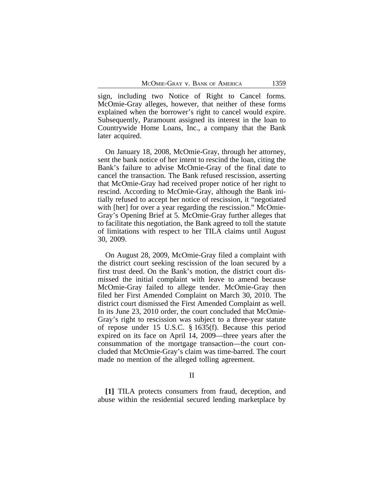sign, including two Notice of Right to Cancel forms. McOmie-Gray alleges, however, that neither of these forms explained when the borrower's right to cancel would expire. Subsequently, Paramount assigned its interest in the loan to Countrywide Home Loans, Inc., a company that the Bank later acquired.

On January 18, 2008, McOmie-Gray, through her attorney, sent the bank notice of her intent to rescind the loan, citing the Bank's failure to advise McOmie-Gray of the final date to cancel the transaction. The Bank refused rescission, asserting that McOmie-Gray had received proper notice of her right to rescind. According to McOmie-Gray, although the Bank initially refused to accept her notice of rescission, it "negotiated with [her] for over a year regarding the rescission." McOmie-Gray's Opening Brief at 5. McOmie-Gray further alleges that to facilitate this negotiation, the Bank agreed to toll the statute of limitations with respect to her TILA claims until August 30, 2009.

On August 28, 2009, McOmie-Gray filed a complaint with the district court seeking rescission of the loan secured by a first trust deed. On the Bank's motion, the district court dismissed the initial complaint with leave to amend because McOmie-Gray failed to allege tender. McOmie-Gray then filed her First Amended Complaint on March 30, 2010. The district court dismissed the First Amended Complaint as well. In its June 23, 2010 order, the court concluded that McOmie-Gray's right to rescission was subject to a three-year statute of repose under 15 U.S.C. § 1635(f). Because this period expired on its face on April 14, 2009—three years after the consummation of the mortgage transaction—the court concluded that McOmie-Gray's claim was time-barred. The court made no mention of the alleged tolling agreement.

#### II

**[1]** TILA protects consumers from fraud, deception, and abuse within the residential secured lending marketplace by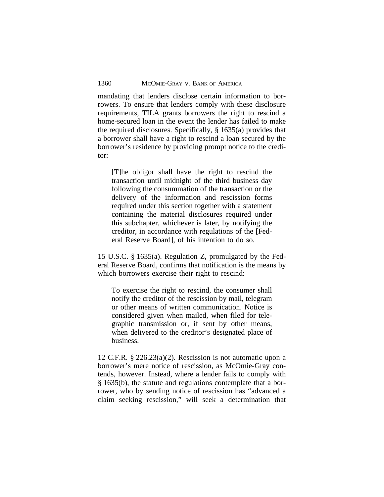mandating that lenders disclose certain information to borrowers. To ensure that lenders comply with these disclosure requirements, TILA grants borrowers the right to rescind a home-secured loan in the event the lender has failed to make the required disclosures. Specifically, § 1635(a) provides that a borrower shall have a right to rescind a loan secured by the borrower's residence by providing prompt notice to the creditor:

[T]he obligor shall have the right to rescind the transaction until midnight of the third business day following the consummation of the transaction or the delivery of the information and rescission forms required under this section together with a statement containing the material disclosures required under this subchapter, whichever is later, by notifying the creditor, in accordance with regulations of the [Federal Reserve Board], of his intention to do so.

15 U.S.C. § 1635(a). Regulation Z, promulgated by the Federal Reserve Board, confirms that notification is the means by which borrowers exercise their right to rescind:

To exercise the right to rescind, the consumer shall notify the creditor of the rescission by mail, telegram or other means of written communication. Notice is considered given when mailed, when filed for telegraphic transmission or, if sent by other means, when delivered to the creditor's designated place of business.

12 C.F.R. § 226.23(a)(2). Rescission is not automatic upon a borrower's mere notice of rescission, as McOmie-Gray contends, however. Instead, where a lender fails to comply with § 1635(b), the statute and regulations contemplate that a borrower, who by sending notice of rescission has "advanced a claim seeking rescission," will seek a determination that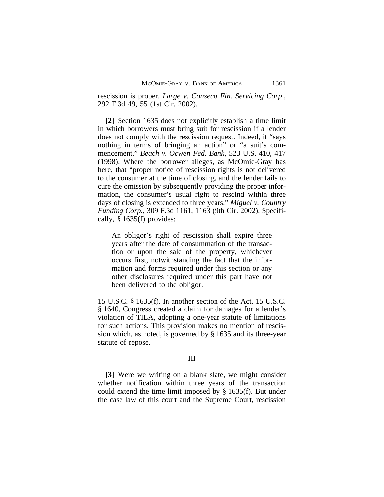rescission is proper. *Large v. Conseco Fin. Servicing Corp*., 292 F.3d 49, 55 (1st Cir. 2002).

**[2]** Section 1635 does not explicitly establish a time limit in which borrowers must bring suit for rescission if a lender does not comply with the rescission request. Indeed, it "says nothing in terms of bringing an action" or "a suit's commencement." *Beach v. Ocwen Fed. Bank*, 523 U.S. 410, 417 (1998). Where the borrower alleges, as McOmie-Gray has here, that "proper notice of rescission rights is not delivered to the consumer at the time of closing, and the lender fails to cure the omission by subsequently providing the proper information, the consumer's usual right to rescind within three days of closing is extended to three years." *Miguel v. Country Funding Corp.*, 309 F.3d 1161, 1163 (9th Cir. 2002). Specifically, § 1635(f) provides:

An obligor's right of rescission shall expire three years after the date of consummation of the transaction or upon the sale of the property, whichever occurs first, notwithstanding the fact that the information and forms required under this section or any other disclosures required under this part have not been delivered to the obligor.

15 U.S.C. § 1635(f). In another section of the Act, 15 U.S.C. § 1640, Congress created a claim for damages for a lender's violation of TILA, adopting a one-year statute of limitations for such actions. This provision makes no mention of rescission which, as noted, is governed by § 1635 and its three-year statute of repose.

## III

**[3]** Were we writing on a blank slate, we might consider whether notification within three years of the transaction could extend the time limit imposed by § 1635(f). But under the case law of this court and the Supreme Court, rescission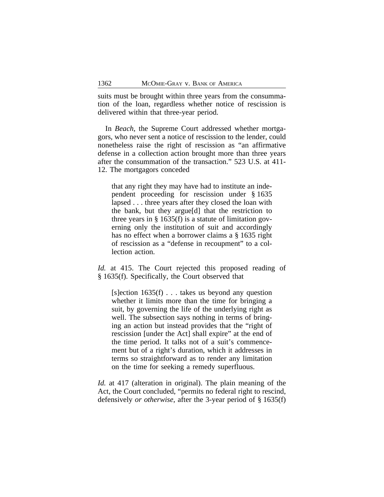suits must be brought within three years from the consummation of the loan, regardless whether notice of rescission is delivered within that three-year period.

In *Beach*, the Supreme Court addressed whether mortgagors, who never sent a notice of rescission to the lender, could nonetheless raise the right of rescission as "an affirmative defense in a collection action brought more than three years after the consummation of the transaction." 523 U.S. at 411- 12. The mortgagors conceded

that any right they may have had to institute an independent proceeding for rescission under § 1635 lapsed . . . three years after they closed the loan with the bank, but they argue[d] that the restriction to three years in  $\S$  1635(f) is a statute of limitation governing only the institution of suit and accordingly has no effect when a borrower claims a § 1635 right of rescission as a "defense in recoupment" to a collection action.

*Id.* at 415. The Court rejected this proposed reading of § 1635(f). Specifically, the Court observed that

[s]ection  $1635(f)$ ... takes us beyond any question whether it limits more than the time for bringing a suit, by governing the life of the underlying right as well. The subsection says nothing in terms of bringing an action but instead provides that the "right of rescission [under the Act] shall expire" at the end of the time period. It talks not of a suit's commencement but of a right's duration, which it addresses in terms so straightforward as to render any limitation on the time for seeking a remedy superfluous.

*Id.* at 417 (alteration in original). The plain meaning of the Act, the Court concluded, "permits no federal right to rescind, defensively *or otherwise*, after the 3-year period of § 1635(f)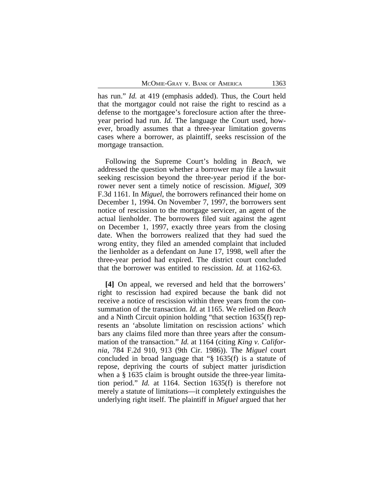has run." *Id.* at 419 (emphasis added). Thus, the Court held that the mortgagor could not raise the right to rescind as a defense to the mortgagee's foreclosure action after the threeyear period had run. *Id.* The language the Court used, however, broadly assumes that a three-year limitation governs cases where a borrower, as plaintiff, seeks rescission of the mortgage transaction.

Following the Supreme Court's holding in *Beach*, we addressed the question whether a borrower may file a lawsuit seeking rescission beyond the three-year period if the borrower never sent a timely notice of rescission. *Miguel*, 309 F.3d 1161. In *Miguel*, the borrowers refinanced their home on December 1, 1994. On November 7, 1997, the borrowers sent notice of rescission to the mortgage servicer, an agent of the actual lienholder. The borrowers filed suit against the agent on December 1, 1997, exactly three years from the closing date. When the borrowers realized that they had sued the wrong entity, they filed an amended complaint that included the lienholder as a defendant on June 17, 1998, well after the three-year period had expired. The district court concluded that the borrower was entitled to rescission. *Id.* at 1162-63.

**[4]** On appeal, we reversed and held that the borrowers' right to rescission had expired because the bank did not receive a notice of rescission within three years from the consummation of the transaction. *Id.* at 1165. We relied on *Beach* and a Ninth Circuit opinion holding "that section 1635(f) represents an 'absolute limitation on rescission actions' which bars any claims filed more than three years after the consummation of the transaction." *Id.* at 1164 (citing *King v. California*, 784 F.2d 910, 913 (9th Cir. 1986)). The *Miguel* court concluded in broad language that "§ 1635(f) is a statute of repose, depriving the courts of subject matter jurisdiction when a § 1635 claim is brought outside the three-year limitation period." *Id.* at 1164. Section 1635(f) is therefore not merely a statute of limitations—it completely extinguishes the underlying right itself. The plaintiff in *Miguel* argued that her